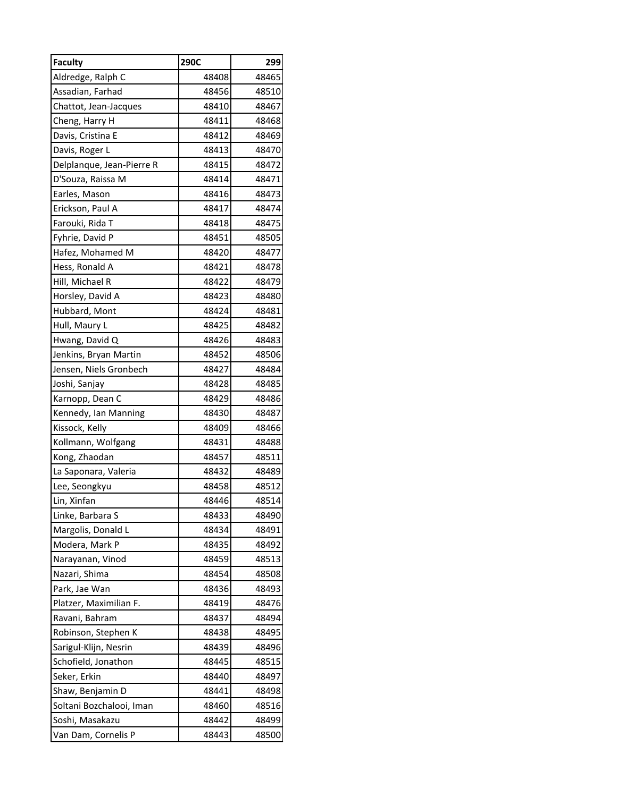| <b>Faculty</b>            | 290C  | 299   |
|---------------------------|-------|-------|
| Aldredge, Ralph C         | 48408 | 48465 |
| Assadian, Farhad          | 48456 | 48510 |
| Chattot, Jean-Jacques     | 48410 | 48467 |
| Cheng, Harry H            | 48411 | 48468 |
| Davis, Cristina E         | 48412 | 48469 |
| Davis, Roger L            | 48413 | 48470 |
| Delplanque, Jean-Pierre R | 48415 | 48472 |
| D'Souza, Raissa M         | 48414 | 48471 |
| Earles, Mason             | 48416 | 48473 |
| Erickson, Paul A          | 48417 | 48474 |
| Farouki, Rida T           | 48418 | 48475 |
| Fyhrie, David P           | 48451 | 48505 |
| Hafez, Mohamed M          | 48420 | 48477 |
| Hess, Ronald A            | 48421 | 48478 |
| Hill, Michael R           | 48422 | 48479 |
| Horsley, David A          | 48423 | 48480 |
| Hubbard, Mont             | 48424 | 48481 |
| Hull, Maury L             | 48425 | 48482 |
| Hwang, David Q            | 48426 | 48483 |
| Jenkins, Bryan Martin     | 48452 | 48506 |
| Jensen, Niels Gronbech    | 48427 | 48484 |
| Joshi, Sanjay             | 48428 | 48485 |
| Karnopp, Dean C           | 48429 | 48486 |
| Kennedy, Ian Manning      | 48430 | 48487 |
| Kissock, Kelly            | 48409 | 48466 |
| Kollmann, Wolfgang        | 48431 | 48488 |
| Kong, Zhaodan             | 48457 | 48511 |
| La Saponara, Valeria      | 48432 | 48489 |
| Lee, Seongkyu             | 48458 | 48512 |
| Lin, Xinfan               | 48446 | 48514 |
| Linke, Barbara S          | 48433 | 48490 |
| Margolis, Donald L        | 48434 | 48491 |
| Modera, Mark P            | 48435 | 48492 |
| Narayanan, Vinod          | 48459 | 48513 |
| Nazari, Shima             | 48454 | 48508 |
| Park, Jae Wan             | 48436 | 48493 |
| Platzer, Maximilian F.    | 48419 | 48476 |
| Ravani, Bahram            | 48437 | 48494 |
| Robinson, Stephen K       | 48438 | 48495 |
| Sarigul-Klijn, Nesrin     | 48439 | 48496 |
| Schofield, Jonathon       | 48445 | 48515 |
| Seker, Erkin              | 48440 | 48497 |
| Shaw, Benjamin D          | 48441 | 48498 |
| Soltani Bozchalooi, Iman  | 48460 | 48516 |
| Soshi, Masakazu           | 48442 | 48499 |
| Van Dam, Cornelis P       | 48443 | 48500 |